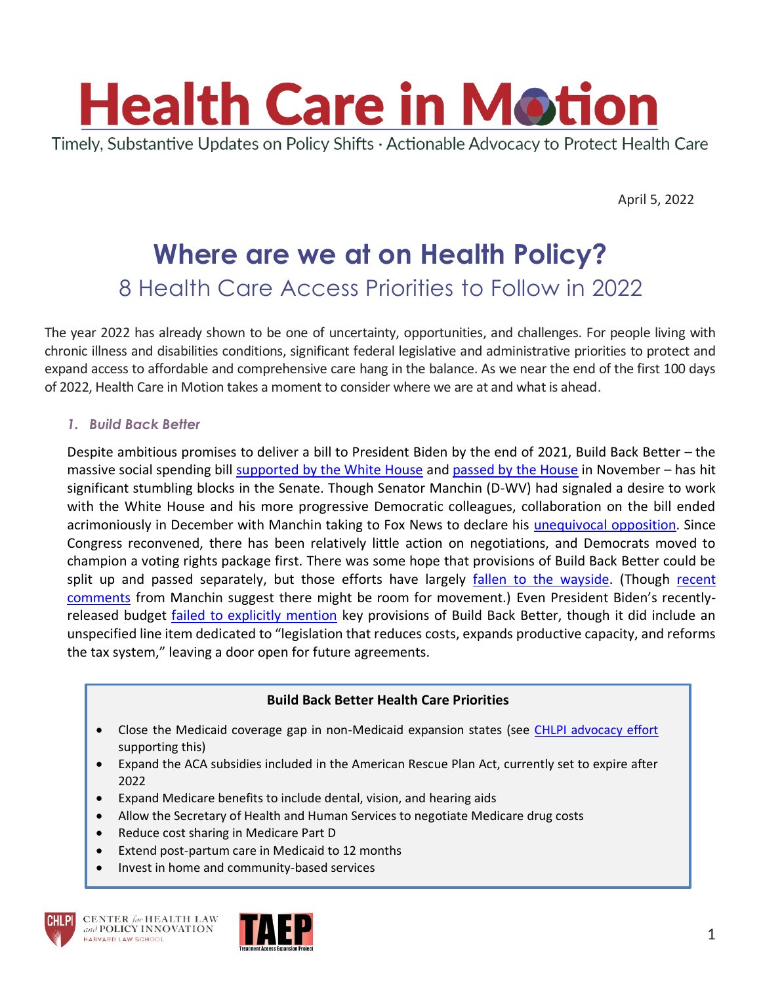

April 5, 2022

# **Where are we at on Health Policy?** 8 Health Care Access Priorities to Follow in 2022

The year 2022 has already shown to be one of uncertainty, opportunities, and challenges. For people living with chronic illness and disabilities conditions, significant federal legislative and administrative priorities to protect and expand access to affordable and comprehensive care hang in the balance. As we near the end of the first 100 days of 2022, Health Care in Motion takes a moment to consider where we are at and what is ahead.

*1. Build Back Better*

Despite ambitious promises to deliver a bill to President Biden by the end of 2021, Build Back Better – the massive social spending bill [supported by the White House](https://www.whitehouse.gov/build-back-better/) and [passed by the House](https://www.congress.gov/bill/117th-congress/house-bill/5376/text?q=%7B%22search%22%3A%5B%22H.R.5376%22%2C%22H.R.5376%22%5D%7D&r=1&s=1) in November – has hit significant stumbling blocks in the Senate. Though Senator Manchin (D-WV) had signaled a desire to work with the White House and his more progressive Democratic colleagues, collaboration on the bill ended acrimoniously in December with Manchin taking to Fox News to declare his [unequivocal opposition.](https://www.manchin.senate.gov/newsroom/press-releases/manchin-statement-on-build-back-better-act) Since Congress reconvened, there has been relatively little action on negotiations, and Democrats moved to champion a voting rights package first. There was some hope that provisions of Build Back Better could be split up and passed separately, but those efforts have largely fallen [to the wayside.](https://www.vox.com/2022/3/16/22955410/build-back-better-scenarios) (Though recent [comments](https://www.msn.com/en-in/news/world/sen-joe-manchin-signals-willingness-to-support-revised-build-back-better-plan-a-new-report-says/ar-AAVt6sy?ocid=uxbndlbing&msclkid=55bc7634b1cb11ecb17801e6f0a78b45) from Manchin suggest there might be room for movement.) Even President Biden's recentlyreleased budget [failed to explicitly mention](https://www.nytimes.com/2022/03/28/upshot/budget-biden-policy-agenda.html) key provisions of Build Back Better, though it did include an unspecified line item dedicated to "legislation that reduces costs, expands productive capacity, and reforms the tax system," leaving a door open for future agreements.

#### **Build Back Better Health Care Priorities**

- Close the Medicaid coverage gap in non-Medicaid expansion states (see [CHLPI advocacy effort](https://chlpi.org/wp-content/uploads/2013/12/Filling-the-Medicaid-Coverage-Gap.pdf) supporting this)
- Expand the ACA subsidies included in the American Rescue Plan Act, currently set to expire after 2022
- Expand Medicare benefits to include dental, vision, and hearing aids
- Allow the Secretary of Health and Human Services to negotiate Medicare drug costs
- Reduce cost sharing in Medicare Part D
- Extend post-partum care in Medicaid to 12 months
- Invest in home and community-based services



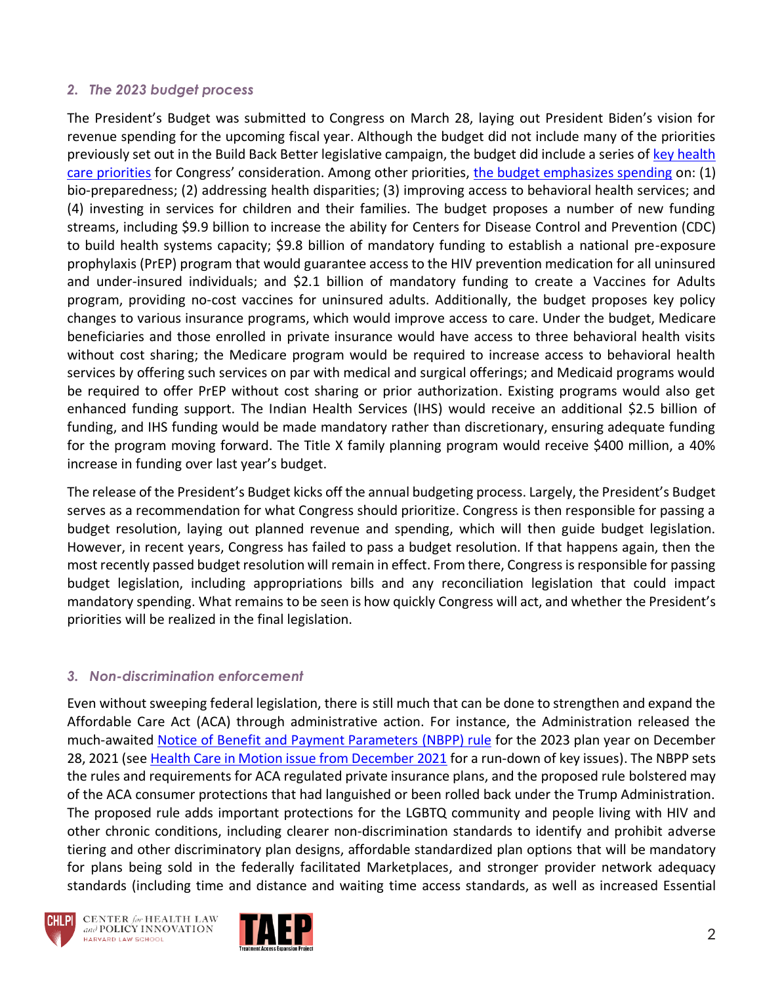### *2. The 2023 budget process*

The President's Budget was submitted to Congress on March 28, laying out President Biden's vision for revenue spending for the upcoming fiscal year. Although the budget did not include many of the priorities previously set out in the Build Back Better legislative campaign, the budget did include a series of [key health](https://www.hhs.gov/sites/default/files/fy-2023-budget-in-brief.pdf)  [care priorities](https://www.hhs.gov/sites/default/files/fy-2023-budget-in-brief.pdf) for Congress' consideration. Among other priorities, [the budget emphasizes spending](https://www.hhs.gov/about/news/2022/03/28/statement-hhs-secretary-becerra-presidents-fiscal-year-2023-budget.html) on: (1) bio-preparedness; (2) addressing health disparities; (3) improving access to behavioral health services; and (4) investing in services for children and their families. The budget proposes a number of new funding streams, including \$9.9 billion to increase the ability for Centers for Disease Control and Prevention (CDC) to build health systems capacity; \$9.8 billion of mandatory funding to establish a national pre-exposure prophylaxis (PrEP) program that would guarantee access to the HIV prevention medication for all uninsured and under-insured individuals; and \$2.1 billion of mandatory funding to create a Vaccines for Adults program, providing no-cost vaccines for uninsured adults. Additionally, the budget proposes key policy changes to various insurance programs, which would improve access to care. Under the budget, Medicare beneficiaries and those enrolled in private insurance would have access to three behavioral health visits without cost sharing; the Medicare program would be required to increase access to behavioral health services by offering such services on par with medical and surgical offerings; and Medicaid programs would be required to offer PrEP without cost sharing or prior authorization. Existing programs would also get enhanced funding support. The Indian Health Services (IHS) would receive an additional \$2.5 billion of funding, and IHS funding would be made mandatory rather than discretionary, ensuring adequate funding for the program moving forward. The Title X family planning program would receive \$400 million, a 40% increase in funding over last year's budget.

The release of the President's Budget kicks off the annual budgeting process. Largely, the President's Budget serves as a recommendation for what Congress should prioritize. Congress is then responsible for passing a budget resolution, laying out planned revenue and spending, which will then guide budget legislation. However, in recent years, Congress has failed to pass a budget resolution. If that happens again, then the most recently passed budget resolution will remain in effect. From there, Congress is responsible for passing budget legislation, including appropriations bills and any reconciliation legislation that could impact mandatory spending. What remains to be seen is how quickly Congress will act, and whether the President's priorities will be realized in the final legislation.

## *3. Non-discrimination enforcement*

Even without sweeping federal legislation, there is still much that can be done to strengthen and expand the Affordable Care Act (ACA) through administrative action. For instance, the Administration released the much-awaited [Notice of Benefit and Payment Parameters \(NBPP\) rule](https://www.federalregister.gov/documents/2022/01/05/2021-28317/patient-protection-and-affordable-care-act-hhs-notice-of-benefit-and-payment-parameters-for-2023) for the 2023 plan year on December 28, 2021 (see [Health Care in Motion issue from December 2021](https://chlpi.org/news-and-events/news-and-commentary/uncategorized/new-health-care-in-motion-preparing-for-nbpp-2023/) for a run-down of key issues). The NBPP sets the rules and requirements for ACA regulated private insurance plans, and the proposed rule bolstered may of the ACA consumer protections that had languished or been rolled back under the Trump Administration. The proposed rule adds important protections for the LGBTQ community and people living with HIV and other chronic conditions, including clearer non-discrimination standards to identify and prohibit adverse tiering and other discriminatory plan designs, affordable standardized plan options that will be mandatory for plans being sold in the federally facilitated Marketplaces, and stronger provider network adequacy standards (including time and distance and waiting time access standards, as well as increased Essential





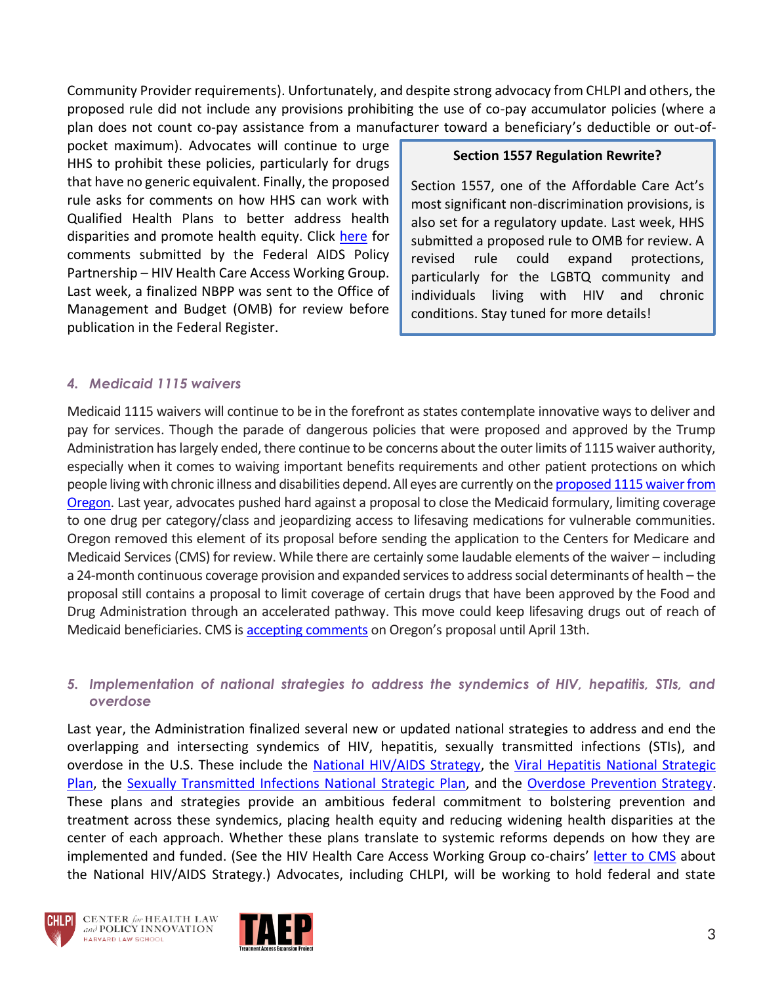Community Provider requirements). Unfortunately, and despite strong advocacy from CHLPI and others, the proposed rule did not include any provisions prohibiting the use of co-pay accumulator policies (where a plan does not count co-pay assistance from a manufacturer toward a beneficiary's deductible or out-of-

pocket maximum). Advocates will continue to urge HHS to prohibit these policies, particularly for drugs that have no generic equivalent. Finally, the proposed rule asks for comments on how HHS can work with Qualified Health Plans to better address health disparities and promote health equity. Click [here](https://chlpi.org/wp-content/uploads/2022/01/HHCAWG-NBPP-2023-Comments-Final.pdf) for comments submitted by the Federal AIDS Policy Partnership – HIV Health Care Access Working Group. Last week, a finalized NBPP was sent to the Office of Management and Budget (OMB) for review before publication in the Federal Register.

#### **Section 1557 Regulation Rewrite?**

Section 1557, one of the Affordable Care Act's most significant non-discrimination provisions, is also set for a regulatory update. Last week, HHS submitted a proposed rule to OMB for review. A revised rule could expand protections, particularly for the LGBTQ community and individuals living with HIV and chronic conditions. Stay tuned for more details!

#### *4. Medicaid 1115 waivers*

Medicaid 1115 waivers will continue to be in the forefront as states contemplate innovative ways to deliver and pay for services. Though the parade of dangerous policies that were proposed and approved by the Trump Administration has largely ended, there continue to be concerns about the outer limits of 1115 waiver authority, especially when it comes to waiving important benefits requirements and other patient protections on which people living with chronic illness and disabilities depend. All eyes are currently on th[e proposed 1115 waiver from](https://www.medicaid.gov/Medicaid-CHIP-Program-Information/By-Topics/Waivers/1115/downloads/or/or-health-pln-extnsion-appl-2022-2027.pdf)  [Oregon.](https://www.medicaid.gov/Medicaid-CHIP-Program-Information/By-Topics/Waivers/1115/downloads/or/or-health-pln-extnsion-appl-2022-2027.pdf) Last year, advocates pushed hard against a proposal to close the Medicaid formulary, limiting coverage to one drug per category/class and jeopardizing access to lifesaving medications for vulnerable communities. Oregon removed this element of its proposal before sending the application to the Centers for Medicare and Medicaid Services (CMS) for review. While there are certainly some laudable elements of the waiver – including a 24-month continuous coverage provision and expanded services to address social determinants of health – the proposal still contains a proposal to limit coverage of certain drugs that have been approved by the Food and Drug Administration through an accelerated pathway. This move could keep lifesaving drugs out of reach of Medicaid beneficiaries. CMS i[s accepting comments](https://1115publiccomments.medicaid.gov/jfe/form/SV_866ATFa9zPavmSO) on Oregon's proposal until April 13th.

#### *5. Implementation of national strategies to address the syndemics of HIV, hepatitis, STIs, and overdose*

Last year, the Administration finalized several new or updated national strategies to address and end the overlapping and intersecting syndemics of HIV, hepatitis, sexually transmitted infections (STIs), and overdose in the U.S. These include the [National HIV/AIDS Strategy,](https://www.hiv.gov/federal-response/national-hiv-aids-strategy/national-hiv-aids-strategy-2022-2025) the [Viral Hepatitis National Strategic](https://www.hhs.gov/hepatitis/viral-hepatitis-national-strategic-plan/index.html)  [Plan,](https://www.hhs.gov/hepatitis/viral-hepatitis-national-strategic-plan/index.html) the [Sexually Transmitted Infections National Strategic Plan,](https://www.hhs.gov/programs/topic-sites/sexually-transmitted-infections/plan-overview/index.html) and the [Overdose Prevention Strategy.](https://www.hhs.gov/overdose-prevention/) These plans and strategies provide an ambitious federal commitment to bolstering prevention and treatment across these syndemics, placing health equity and reducing widening health disparities at the center of each approach. Whether these plans translate to systemic reforms depends on how they are implemented and funded. (See the HIV Health Care Access Working Group co-chairs' [letter to CMS](https://chlpi.org/wp-content/uploads/2022/03/HHCAWG-NHAS-Letter-3-24-22.pdf) about the National HIV/AIDS Strategy.) Advocates, including CHLPI, will be working to hold federal and state



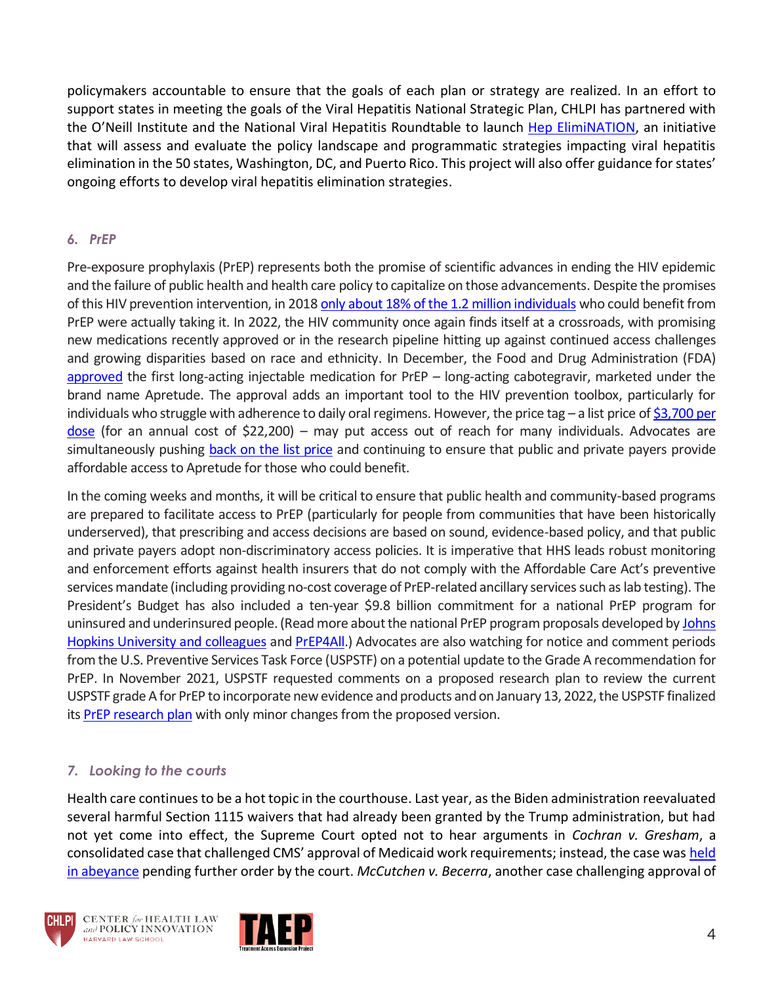policymakers accountable to ensure that the goals of each plan or strategy are realized. In an effort to support states in meeting the goals of the Viral Hepatitis National Strategic Plan, CHLPI has partnered with the O'Neill Institute and the National Viral Hepatitis Roundtable to launch [Hep ElimiNATION,](https://eliminatehep.org/) an initiative that will assess and evaluate the policy landscape and programmatic strategies impacting viral hepatitis elimination in the 50 states, Washington, DC, and Puerto Rico. This project will also offer guidance for states' ongoing efforts to develop viral hepatitis elimination strategies.

# *6. PrEP*

Pre-exposure prophylaxis (PrEP) represents both the promise of scientific advances in ending the HIV epidemic and the failure of public health and health care policy to capitalize on those advancements. Despite the promises of this HIV prevention intervention, in 2018 only about 18% of [the 1.2 million individuals](https://www.cdc.gov/nchhstp/newsroom/2019/ending-HIV-transmission-press-release.html?msclkid=ec50356baf8d11ecbcd238e6bbf73b91) who could benefit from PrEP were actually taking it. In 2022, the HIV community once again finds itself at a crossroads, with promising new medications recently approved or in the research pipeline hitting up against continued access challenges and growing disparities based on race and ethnicity. In December, the Food and Drug Administration (FDA) [approved](https://www.fda.gov/news-events/press-announcements/fda-approves-first-injectable-treatment-hiv-pre-exposure-prevention) the first long-acting injectable medication for PrEP – long-acting cabotegravir, marketed under the brand name Apretude. The approval adds an important tool to the HIV prevention toolbox, particularly for individuals who struggle with adherence to daily oral regimens. However, the price tag  $-$  a list price of \$3,700 per [dose](https://www.poz.com/article/apretude-approvedthe-first-longacting-injectable-prep-option?msclkid=a2a1ba2caf9411ec9a51a519b80c5024) (for an annual cost of \$22,200) – may put access out of reach for many individuals. Advocates are simultaneously pushing [back on the list price](https://www.fairpricingcoalition.org/apretude-pricing-hiv-prep) and continuing to ensure that public and private payers provide affordable access to Apretude for those who could benefit.

In the coming weeks and months, it will be critical to ensure that public health and community-based programs are prepared to facilitate access to PrEP (particularly for people from communities that have been historically underserved), that prescribing and access decisions are based on sound, evidence-based policy, and that public and private payers adopt non-discriminatory access policies. It is imperative that HHS leads robust monitoring and enforcement efforts against health insurers that do not comply with the Affordable Care Act's preventive services mandate (including providing no-cost coverage of PrEP-related ancillary services such as lab testing). The President's Budget has also included a ten-year \$9.8 billion commitment for a national PrEP program for uninsured and underinsured people. (Read more about the national PrEP program proposals developed b[y Johns](https://publichealth.jhu.edu/sites/default/files/2022-01/prep-proposal-1322-final.pdf)  [Hopkins University and colleagues](https://publichealth.jhu.edu/sites/default/files/2022-01/prep-proposal-1322-final.pdf) and [PrEP4All.](https://www.prep4all.org/hivprogram)) Advocates are also watching for notice and comment periods from the U.S. Preventive Services Task Force (USPSTF) on a potential update to the Grade A recommendation for PrEP. In November 2021, USPSTF requested comments on a proposed research plan to review the current USPSTF grade A for PrEP to incorporate new evidence and products and on January 13, 2022, the USPSTF finalized its [PrEP research plan](https://www.uspreventiveservicestaskforce.org/uspstf/announcements/final-research-plan-prep-hiv-prevention) with only minor changes from the proposed version.

# *7. Looking to the courts*

Health care continues to be a hot topic in the courthouse. Last year, as the Biden administration reevaluated several harmful Section 1115 waivers that had already been granted by the Trump administration, but had not yet come into effect, the Supreme Court opted not to hear arguments in *Cochran v. Gresham*, a consolidated case that challenged CMS' approval of Medicaid work requirements; instead, the case was held [in abeyance](https://www.supremecourt.gov/docket/docketfiles/html/public/20-37.html) pending further order by the court. *McCutchen v. Becerra*, another case challenging approval of



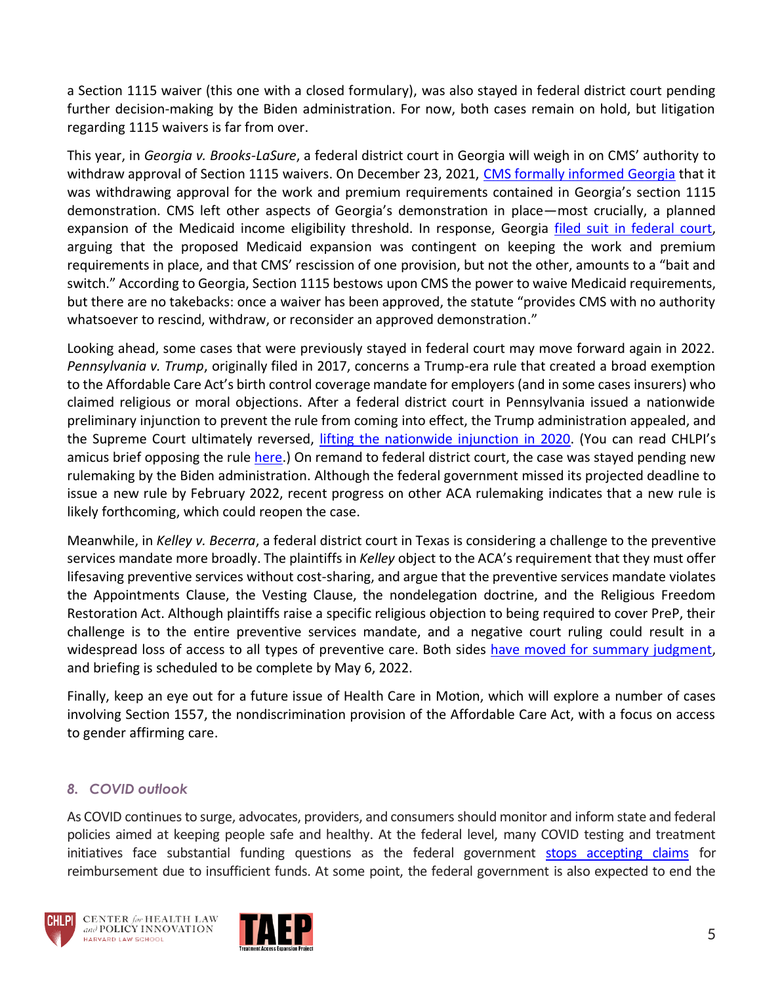a Section 1115 waiver (this one with a closed formulary), was also stayed in federal district court pending further decision-making by the Biden administration. For now, both cases remain on hold, but litigation regarding 1115 waivers is far from over.

This year, in *Georgia v. Brooks-LaSure*, a federal district court in Georgia will weigh in on CMS' authority to withdraw approval of Section 1115 waivers. On December 23, 2021, [CMS formally informed Georgia](https://www.medicaid.gov/Medicaid-CHIP-Program-Information/By-Topics/Waivers/1115/downloads/ga/ga-pathways-to-coverage-12-23-2021-ca.pdf) that it was withdrawing approval for the work and premium requirements contained in Georgia's section 1115 demonstration. CMS left other aspects of Georgia's demonstration in place—most crucially, a planned expansion of the Medicaid income eligibility threshold. In response, Georgia [filed suit in federal court,](https://affordablecareactlitigation.files.wordpress.com/2022/01/georgia-1115-complaint-1-21-22.pdf) arguing that the proposed Medicaid expansion was contingent on keeping the work and premium requirements in place, and that CMS' rescission of one provision, but not the other, amounts to a "bait and switch." According to Georgia, Section 1115 bestows upon CMS the power to waive Medicaid requirements, but there are no takebacks: once a waiver has been approved, the statute "provides CMS with no authority whatsoever to rescind, withdraw, or reconsider an approved demonstration."

Looking ahead, some cases that were previously stayed in federal court may move forward again in 2022. *Pennsylvania v. Trump*, originally filed in 2017, concerns a Trump-era rule that created a broad exemption to the Affordable Care Act's birth control coverage mandate for employers (and in some cases insurers) who claimed religious or moral objections. After a federal district court in Pennsylvania issued a nationwide preliminary injunction to prevent the rule from coming into effect, the Trump administration appealed, and the Supreme Court ultimately reversed, [lifting the nationwide injunction in 2020](https://www.supremecourt.gov/opinions/19pdf/19-431_5i36.pdf). (You can read CHLPI's amicus brief opposing the rule [here.](https://chlpi.org/resources/amicus-brief-trump-v-pennsylvania/)) On remand to federal district court, the case was stayed pending new rulemaking by the Biden administration. Although the federal government missed its projected deadline to issue a new rule by February 2022, recent progress on other ACA rulemaking indicates that a new rule is likely forthcoming, which could reopen the case.

Meanwhile, in *Kelley v. Becerra*, a federal district court in Texas is considering a challenge to the preventive services mandate more broadly. The plaintiffs in *Kelley* object to the ACA's requirement that they must offer lifesaving preventive services without cost-sharing, and argue that the preventive services mandate violates the Appointments Clause, the Vesting Clause, the nondelegation doctrine, and the Religious Freedom Restoration Act. Although plaintiffs raise a specific religious objection to being required to cover PreP, their challenge is to the entire preventive services mandate, and a negative court ruling could result in a widespread loss of access to all types of preventive care. Both sides [have moved for summary judgment,](https://affordablecareactlitigation.files.wordpress.com/2022/01/kelley-us-brief-1-28.pdf) and briefing is scheduled to be complete by May 6, 2022.

Finally, keep an eye out for a future issue of Health Care in Motion, which will explore a number of cases involving Section 1557, the nondiscrimination provision of the Affordable Care Act, with a focus on access to gender affirming care.

#### *8. COVID outlook*

As COVID continues to surge, advocates, providers, and consumers should monitor and inform state and federal policies aimed at keeping people safe and healthy. At the federal level, many COVID testing and treatment initiatives face substantial funding questions as the federal government [stops accepting claims](https://www.npr.org/sections/health-shots/2022/03/29/1089355997/free-covid-tests-and-treatments-no-longer-free-for-uninsured-as-funding-runs-out?msclkid=8f5efcd2b02711ecb754fe37551b0bd1) for reimbursement due to insufficient funds. At some point, the federal government is also expected to end the